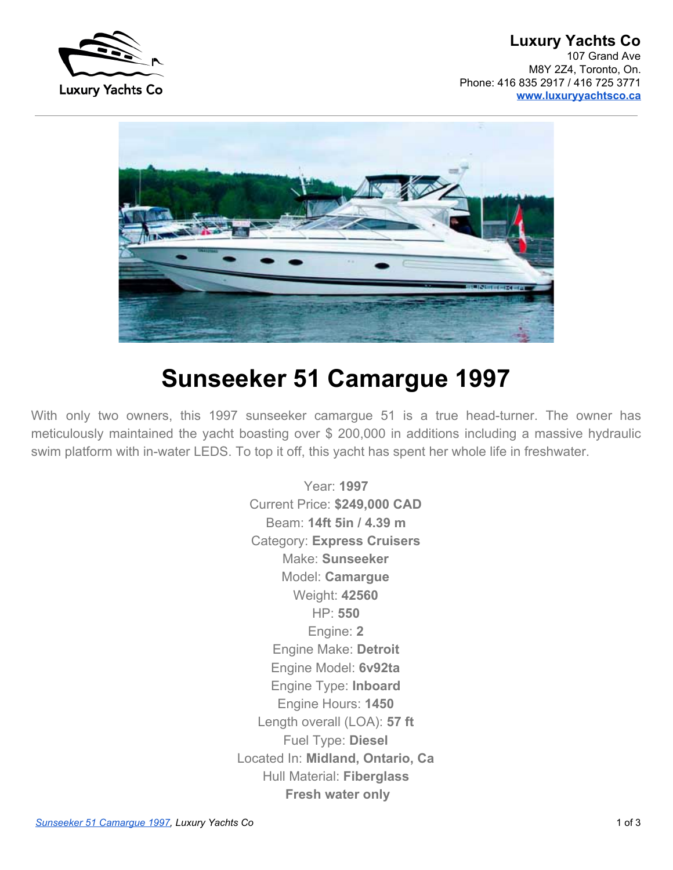



# **Sunseeker 51 Camargue 1997**

With only two owners, this 1997 sunseeker camargue 51 is a true head-turner. The owner has meticulously maintained the yacht boasting over \$ 200,000 in additions including a massive hydraulic swim platform with in-water LEDS. To top it off, this yacht has spent her whole life in freshwater.

> Year: **1997** Current Price: **\$249,000 CAD** Beam: **14ft 5in / 4.39 m** Category: **Express Cruisers** Make: **Sunseeker** Model: **Camargue** Weight: **42560** HP: **550** Engine: **2** Engine Make: **Detroit** Engine Model: **6v92ta** Engine Type: **Inboard** Engine Hours: **1450** Length overall (LOA): **57 ft** Fuel Type: **Diesel** Located In: **Midland, Ontario, Ca** Hull Material: **Fiberglass Fresh water only**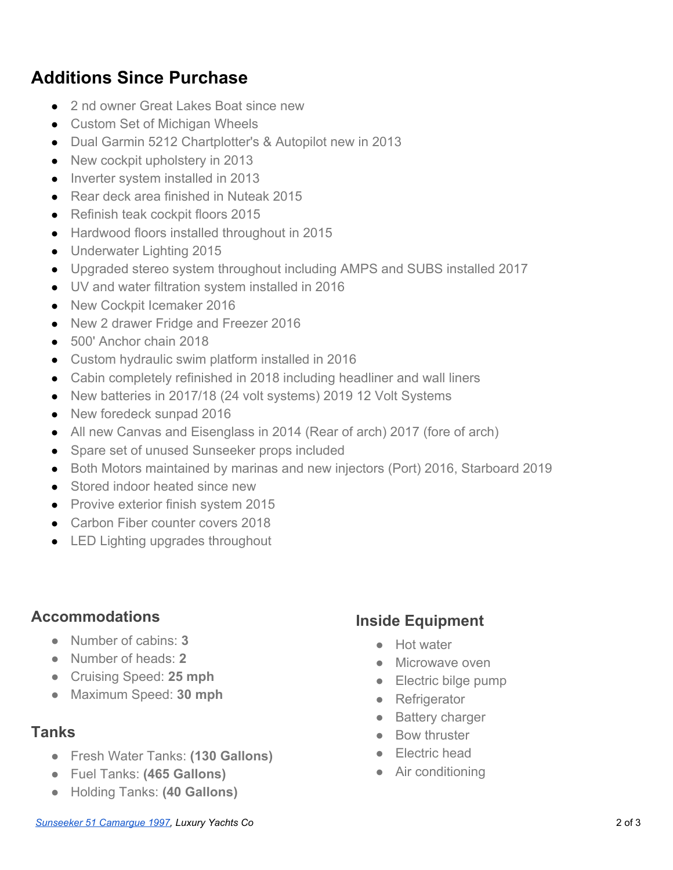# **Additions Since Purchase**

- 2 nd owner Great Lakes Boat since new
- Custom Set of Michigan Wheels
- Dual Garmin 5212 Chartplotter's & Autopilot new in 2013
- New cockpit upholstery in 2013
- Inverter system installed in 2013
- Rear deck area finished in Nuteak 2015
- Refinish teak cockpit floors 2015
- Hardwood floors installed throughout in 2015
- Underwater Lighting 2015
- Upgraded stereo system throughout including AMPS and SUBS installed 2017
- UV and water filtration system installed in 2016
- New Cockpit Icemaker 2016
- New 2 drawer Fridge and Freezer 2016
- 500' Anchor chain 2018
- Custom hydraulic swim platform installed in 2016
- Cabin completely refinished in 2018 including headliner and wall liners
- New batteries in 2017/18 (24 volt systems) 2019 12 Volt Systems
- New foredeck sunpad 2016
- All new Canvas and Eisenglass in 2014 (Rear of arch) 2017 (fore of arch)
- Spare set of unused Sunseeker props included
- Both Motors maintained by marinas and new injectors (Port) 2016, Starboard 2019
- Stored indoor heated since new
- Provive exterior finish system 2015
- Carbon Fiber counter covers 2018
- LED Lighting upgrades throughout

#### **Accommodations**

- Number of cabins: **3**
- Number of heads: **2**
- Cruising Speed: **25 mph**
- Maximum Speed: **30 mph**

#### **Tanks**

- Fresh Water Tanks: **(130 Gallons)**
- Fuel Tanks: **(465 Gallons)**
- Holding Tanks: **(40 Gallons)**

#### **Inside Equipment**

- Hot water
- Microwave oven
- Electric bilge pump
- Refrigerator
- Battery charger
- Bow thruster
- Electric head
- Air conditioning